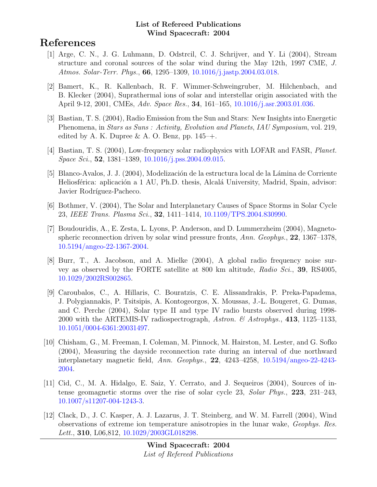# References

- [1] Arge, C. N., J. G. Luhmann, D. Odstrcil, C. J. Schrijver, and Y. Li (2004), Stream structure and coronal sources of the solar wind during the May 12th, 1997 CME, J. Atmos. Solar-Terr. Phys., 66, 1295–1309, [10.1016/j.jastp.2004.03.018.](http://dx.doi.org/10.1016/j.jastp.2004.03.018)
- [2] Bamert, K., R. Kallenbach, R. F. Wimmer-Schweingruber, M. Hilchenbach, and B. Klecker (2004), Suprathermal ions of solar and interstellar origin associated with the April 9-12, 2001, CMEs, Adv. Space Res., 34, 161–165, [10.1016/j.asr.2003.01.036.](http://dx.doi.org/10.1016/j.asr.2003.01.036)
- [3] Bastian, T. S. (2004), Radio Emission from the Sun and Stars: New Insights into Energetic Phenomena, in *Stars as Suns : Activity, Evolution and Planets, IAU Symposium*, vol. 219, edited by A. K. Dupree  $\&$  A. O. Benz, pp. 145–+.
- [4] Bastian, T. S. (2004), Low-frequency solar radiophysics with LOFAR and FASR, Planet. Space Sci., 52, 1381–1389, [10.1016/j.pss.2004.09.015.](http://dx.doi.org/10.1016/j.pss.2004.09.015)
- [5] Blanco-Avalos, J. J. (2004), Modelización de la estructura local de la Lámina de Corriente Heliosférica: aplicación a 1 AU, Ph.D. thesis, Alcalá University, Madrid, Spain, advisor: Javier Rodríguez-Pacheco.
- [6] Bothmer, V. (2004), The Solar and Interplanetary Causes of Space Storms in Solar Cycle 23, IEEE Trans. Plasma Sci., 32, 1411–1414, [10.1109/TPS.2004.830990.](http://dx.doi.org/10.1109/TPS.2004.830990)
- [7] Boudouridis, A., E. Zesta, L. Lyons, P. Anderson, and D. Lummerzheim (2004), Magnetospheric reconnection driven by solar wind pressure fronts, Ann. Geophys., 22, 1367–1378, [10.5194/angeo-22-1367-2004.](http://dx.doi.org/10.5194/angeo-22-1367-2004)
- [8] Burr, T., A. Jacobson, and A. Mielke (2004), A global radio frequency noise survey as observed by the FORTE satellite at 800 km altitude, Radio Sci., 39, RS4005, [10.1029/2002RS002865.](http://dx.doi.org/10.1029/2002RS002865)
- [9] Caroubalos, C., A. Hillaris, C. Bouratzis, C. E. Alissandrakis, P. Preka-Papadema, J. Polygiannakis, P. Tsitsipis, A. Kontogeorgos, X. Moussas, J.-L. Bougeret, G. Dumas, and C. Perche (2004), Solar type II and type IV radio bursts observed during 1998- 2000 with the ARTEMIS-IV radiospectrograph, Astron. & Astrophys., 413, 1125–1133, [10.1051/0004-6361:20031497.](http://dx.doi.org/10.1051/0004-6361:20031497)
- [10] Chisham, G., M. Freeman, I. Coleman, M. Pinnock, M. Hairston, M. Lester, and G. Sofko (2004), Measuring the dayside reconnection rate during an interval of due northward interplanetary magnetic field, Ann. Geophys., 22, 4243–4258, [10.5194/angeo-22-4243-](http://dx.doi.org/10.5194/angeo-22-4243-2004) [2004.](http://dx.doi.org/10.5194/angeo-22-4243-2004)
- [11] Cid, C., M. A. Hidalgo, E. Saiz, Y. Cerrato, and J. Sequeiros (2004), Sources of intense geomagnetic storms over the rise of solar cycle 23, Solar Phys., 223, 231–243, [10.1007/s11207-004-1243-3.](http://dx.doi.org/10.1007/s11207-004-1243-3)
- [12] Clack, D., J. C. Kasper, A. J. Lazarus, J. T. Steinberg, and W. M. Farrell (2004), Wind observations of extreme ion temperature anisotropies in the lunar wake, Geophys. Res. Lett., **310**, L06,812, [10.1029/2003GL018298.](http://dx.doi.org/10.1029/2003GL018298)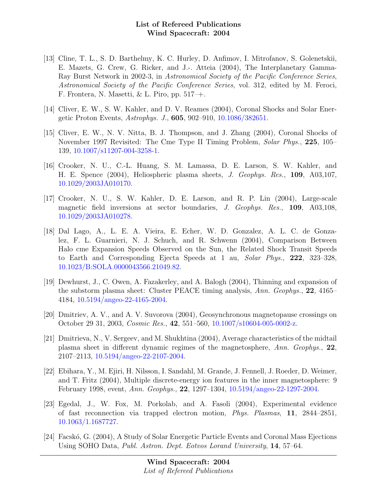- [13] Cline, T. L., S. D. Barthelmy, K. C. Hurley, D. Anfimov, I. Mitrofanov, S. Golenetskii, E. Mazets, G. Crew, G. Ricker, and J.-. Atteia (2004), The Interplanetary Gamma-Ray Burst Network in 2002-3, in Astronomical Society of the Pacific Conference Series, Astronomical Society of the Pacific Conference Series, vol. 312, edited by M. Feroci, F. Frontera, N. Masetti, & L. Piro, pp. 517–+.
- [14] Cliver, E. W., S. W. Kahler, and D. V. Reames (2004), Coronal Shocks and Solar Energetic Proton Events, Astrophys. J., 605, 902–910, [10.1086/382651.](http://dx.doi.org/10.1086/382651)
- [15] Cliver, E. W., N. V. Nitta, B. J. Thompson, and J. Zhang (2004), Coronal Shocks of November 1997 Revisited: The Cme Type II Timing Problem, Solar Phys., 225, 105– 139, [10.1007/s11207-004-3258-1.](http://dx.doi.org/10.1007/s11207-004-3258-1)
- [16] Crooker, N. U., C.-L. Huang, S. M. Lamassa, D. E. Larson, S. W. Kahler, and H. E. Spence (2004), Heliospheric plasma sheets, J. Geophys. Res., 109, A03,107, [10.1029/2003JA010170.](http://dx.doi.org/10.1029/2003JA010170)
- [17] Crooker, N. U., S. W. Kahler, D. E. Larson, and R. P. Lin (2004), Large-scale magnetic field inversions at sector boundaries, J. Geophys. Res., 109, A03,108, [10.1029/2003JA010278.](http://dx.doi.org/10.1029/2003JA010278)
- [18] Dal Lago, A., L. E. A. Vieira, E. Echer, W. D. Gonzalez, A. L. C. de Gonzalez, F. L. Guarnieri, N. J. Schuch, and R. Schwenn (2004), Comparison Between Halo cme Expansion Speeds Observed on the Sun, the Related Shock Transit Speeds to Earth and Corresponding Ejecta Speeds at 1 au, Solar Phys., 222, 323–328, [10.1023/B:SOLA.0000043566.21049.82.](http://dx.doi.org/10.1023/B:SOLA.0000043566.21049.82)
- [19] Dewhurst, J., C. Owen, A. Fazakerley, and A. Balogh (2004), Thinning and expansion of the substorm plasma sheet: Cluster PEACE timing analysis, Ann. Geophys., 22, 4165– 4184, [10.5194/angeo-22-4165-2004.](http://dx.doi.org/10.5194/angeo-22-4165-2004)
- [20] Dmitriev, A. V., and A. V. Suvorova (2004), Geosynchronous magnetopause crossings on October 29 31, 2003, Cosmic Res., 42, 551–560, [10.1007/s10604-005-0002-z.](http://dx.doi.org/10.1007/s10604-005-0002-z)
- [21] Dmitrieva, N., V. Sergeev, and M. Shukhtina (2004), Average characteristics of the midtail plasma sheet in different dynamic regimes of the magnetosphere, Ann. Geophys., 22, 2107–2113, [10.5194/angeo-22-2107-2004.](http://dx.doi.org/10.5194/angeo-22-2107-2004)
- [22] Ebihara, Y., M. Ejiri, H. Nilsson, I. Sandahl, M. Grande, J. Fennell, J. Roeder, D. Weimer, and T. Fritz (2004), Multiple discrete-energy ion features in the inner magnetosphere: 9 February 1998, event, Ann. Geophys., 22, 1297–1304, [10.5194/angeo-22-1297-2004.](http://dx.doi.org/10.5194/angeo-22-1297-2004)
- [23] Egedal, J., W. Fox, M. Porkolab, and A. Fasoli (2004), Experimental evidence of fast reconnection via trapped electron motion, Phys. Plasmas, 11, 2844–2851, [10.1063/1.1687727.](http://dx.doi.org/10.1063/1.1687727)
- [24] Facskó, G. (2004), A Study of Solar Energetic Particle Events and Coronal Mass Ejections Using SOHO Data, Publ. Astron. Dept. Eotvos Lorand University, 14, 57–64.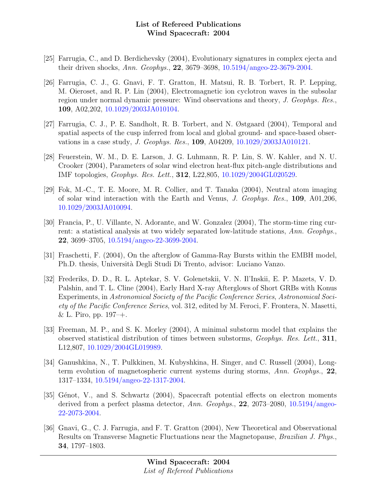- [25] Farrugia, C., and D. Berdichevsky (2004), Evolutionary signatures in complex ejecta and their driven shocks, Ann. Geophys., 22, 3679–3698, [10.5194/angeo-22-3679-2004.](http://dx.doi.org/10.5194/angeo-22-3679-2004)
- [26] Farrugia, C. J., G. Gnavi, F. T. Gratton, H. Matsui, R. B. Torbert, R. P. Lepping, M. Oieroset, and R. P. Lin (2004), Electromagnetic ion cyclotron waves in the subsolar region under normal dynamic pressure: Wind observations and theory, J. Geophys. Res., 109, A02,202, [10.1029/2003JA010104.](http://dx.doi.org/10.1029/2003JA010104)
- [27] Farrugia, C. J., P. E. Sandholt, R. B. Torbert, and N. Østgaard (2004), Temporal and spatial aspects of the cusp inferred from local and global ground- and space-based observations in a case study, J. Geophys. Res., 109, A04209, [10.1029/2003JA010121.](http://dx.doi.org/10.1029/2003JA010121)
- [28] Feuerstein, W. M., D. E. Larson, J. G. Luhmann, R. P. Lin, S. W. Kahler, and N. U. Crooker (2004), Parameters of solar wind electron heat-flux pitch-angle distributions and IMF topologies, Geophys. Res. Lett., 312, L22,805, [10.1029/2004GL020529.](http://dx.doi.org/10.1029/2004GL020529)
- [29] Fok, M.-C., T. E. Moore, M. R. Collier, and T. Tanaka (2004), Neutral atom imaging of solar wind interaction with the Earth and Venus, J. Geophys. Res., 109, A01,206, [10.1029/2003JA010094.](http://dx.doi.org/10.1029/2003JA010094)
- [30] Francia, P., U. Villante, N. Adorante, and W. Gonzalez (2004), The storm-time ring current: a statistical analysis at two widely separated low-latitude stations, Ann. Geophys., 22, 3699–3705, [10.5194/angeo-22-3699-2004.](http://dx.doi.org/10.5194/angeo-22-3699-2004)
- [31] Fraschetti, F. (2004), On the afterglow of Gamma-Ray Bursts within the EMBH model, Ph.D. thesis, Universit`a Degli Studi Di Trento, advisor: Luciano Vanzo.
- [32] Frederiks, D. D., R. L. Aptekar, S. V. Golenetskii, V. N. Il'Inskii, E. P. Mazets, V. D. Palshin, and T. L. Cline (2004), Early Hard X-ray Afterglows of Short GRBs with Konus Experiments, in Astronomical Society of the Pacific Conference Series, Astronomical Society of the Pacific Conference Series, vol. 312, edited by M. Feroci, F. Frontera, N. Masetti,  $& L. Piro, pp. 197 - +.$
- [33] Freeman, M. P., and S. K. Morley (2004), A minimal substorm model that explains the observed statistical distribution of times between substorms, Geophys. Res. Lett., 311, L12,807, [10.1029/2004GL019989.](http://dx.doi.org/10.1029/2004GL019989)
- [34] Ganushkina, N., T. Pulkkinen, M. Kubyshkina, H. Singer, and C. Russell (2004), Longterm evolution of magnetospheric current systems during storms, Ann. Geophys., 22, 1317–1334, [10.5194/angeo-22-1317-2004.](http://dx.doi.org/10.5194/angeo-22-1317-2004)
- [35] Génot, V., and S. Schwartz (2004), Spacecraft potential effects on electron moments derived from a perfect plasma detector, Ann. Geophys., 22, 2073–2080, [10.5194/angeo-](http://dx.doi.org/10.5194/angeo-22-2073-2004)[22-2073-2004.](http://dx.doi.org/10.5194/angeo-22-2073-2004)
- [36] Gnavi, G., C. J. Farrugia, and F. T. Gratton (2004), New Theoretical and Observational Results on Transverse Magnetic Fluctuations near the Magnetopause, Brazilian J. Phys., 34, 1797–1803.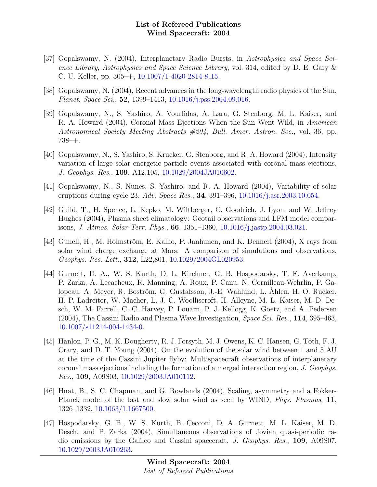- [37] Gopalswamy, N. (2004), Interplanetary Radio Bursts, in Astrophysics and Space Science Library, Astrophysics and Space Science Library, vol. 314, edited by D. E. Gary & C. U. Keller, pp.  $305 + 10.1007/1 - 4020 - 2814 - 8.15$ .
- [38] Gopalswamy, N. (2004), Recent advances in the long-wavelength radio physics of the Sun, Planet. Space Sci., 52, 1399–1413, [10.1016/j.pss.2004.09.016.](http://dx.doi.org/10.1016/j.pss.2004.09.016)
- [39] Gopalswamy, N., S. Yashiro, A. Vourlidas, A. Lara, G. Stenborg, M. L. Kaiser, and R. A. Howard (2004), Coronal Mass Ejections When the Sun Went Wild, in American Astronomical Society Meeting Abstracts #204, Bull. Amer. Astron. Soc., vol. 36, pp. 738–+.
- [40] Gopalswamy, N., S. Yashiro, S. Krucker, G. Stenborg, and R. A. Howard (2004), Intensity variation of large solar energetic particle events associated with coronal mass ejections, J. Geophys. Res., 109, A12,105, [10.1029/2004JA010602.](http://dx.doi.org/10.1029/2004JA010602)
- [41] Gopalswamy, N., S. Nunes, S. Yashiro, and R. A. Howard (2004), Variability of solar eruptions during cycle 23, Adv. Space Res., **34**, 391–396, [10.1016/j.asr.2003.10.054.](http://dx.doi.org/10.1016/j.asr.2003.10.054)
- [42] Guild, T., H. Spence, L. Kepko, M. Wiltberger, C. Goodrich, J. Lyon, and W. Jeffrey Hughes (2004), Plasma sheet climatology: Geotail observations and LFM model comparisons, J. Atmos. Solar-Terr. Phys., 66, 1351–1360, [10.1016/j.jastp.2004.03.021.](http://dx.doi.org/10.1016/j.jastp.2004.03.021)
- [43] Gunell, H., M. Holmström, E. Kallio, P. Janhunen, and K. Dennerl (2004), X rays from solar wind charge exchange at Mars: A comparison of simulations and observations, Geophys. Res. Lett., 312, L22,801, [10.1029/2004GL020953.](http://dx.doi.org/10.1029/2004GL020953)
- [44] Gurnett, D. A., W. S. Kurth, D. L. Kirchner, G. B. Hospodarsky, T. F. Averkamp, P. Zarka, A. Lecacheux, R. Manning, A. Roux, P. Canu, N. Cornilleau-Wehrlin, P. Galopeau, A. Meyer, R. Boström, G. Gustafsson, J.-E. Wahlund, L. Åhlen, H. O. Rucker, H. P. Ladreiter, W. Macher, L. J. C. Woolliscroft, H. Alleyne, M. L. Kaiser, M. D. Desch, W. M. Farrell, C. C. Harvey, P. Louarn, P. J. Kellogg, K. Goetz, and A. Pedersen (2004), The Cassini Radio and Plasma Wave Investigation, Space Sci. Rev., 114, 395–463, [10.1007/s11214-004-1434-0.](http://dx.doi.org/10.1007/s11214-004-1434-0)
- [45] Hanlon, P. G., M. K. Dougherty, R. J. Forsyth, M. J. Owens, K. C. Hansen, G. Tóth, F. J. Crary, and D. T. Young (2004), On the evolution of the solar wind between 1 and 5 AU at the time of the Cassini Jupiter flyby: Multispacecraft observations of interplanetary coronal mass ejections including the formation of a merged interaction region, J. Geophys. Res., 109, A09S03, [10.1029/2003JA010112.](http://dx.doi.org/10.1029/2003JA010112)
- [46] Hnat, B., S. C. Chapman, and G. Rowlands (2004), Scaling, asymmetry and a Fokker-Planck model of the fast and slow solar wind as seen by WIND, Phys. Plasmas, 11, 1326–1332, [10.1063/1.1667500.](http://dx.doi.org/10.1063/1.1667500)
- [47] Hospodarsky, G. B., W. S. Kurth, B. Cecconi, D. A. Gurnett, M. L. Kaiser, M. D. Desch, and P. Zarka (2004), Simultaneous observations of Jovian quasi-periodic radio emissions by the Galileo and Cassini spacecraft, J. Geophys. Res., 109, A09S07, [10.1029/2003JA010263.](http://dx.doi.org/10.1029/2003JA010263)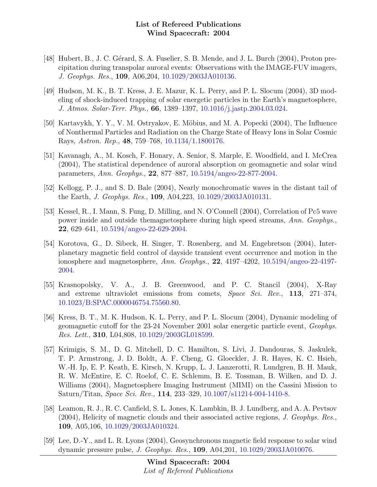- [48] Hubert, B., J. C. Gérard, S. A. Fuselier, S. B. Mende, and J. L. Burch (2004), Proton precipitation during transpolar auroral events: Observations with the IMAGE-FUV imagers, J. Geophys. Res., 109, A06,204, [10.1029/2003JA010136.](http://dx.doi.org/10.1029/2003JA010136)
- [49] Hudson, M. K., B. T. Kress, J. E. Mazur, K. L. Perry, and P. L. Slocum (2004), 3D modeling of shock-induced trapping of solar energetic particles in the Earth's magnetosphere, J. Atmos. Solar-Terr. Phys., 66, 1389–1397, [10.1016/j.jastp.2004.03.024.](http://dx.doi.org/10.1016/j.jastp.2004.03.024)
- [50] Kartavykh, Y. Y., V. M. Ostryakov, E. Möbius, and M. A. Popecki (2004), The Influence of Nonthermal Particles and Radiation on the Charge State of Heavy Ions in Solar Cosmic Rays, Astron. Rep., 48, 759–768, [10.1134/1.1800176.](http://dx.doi.org/10.1134/1.1800176)
- [51] Kavanagh, A., M. Kosch, F. Honary, A. Senior, S. Marple, E. Woodfield, and I. McCrea (2004), The statistical dependence of auroral absorption on geomagnetic and solar wind parameters, Ann. Geophys., 22, 877–887, [10.5194/angeo-22-877-2004.](http://dx.doi.org/10.5194/angeo-22-877-2004)
- [52] Kellogg, P. J., and S. D. Bale (2004), Nearly monochromatic waves in the distant tail of the Earth, J. Geophys. Res., 109, A04,223, [10.1029/2003JA010131.](http://dx.doi.org/10.1029/2003JA010131)
- [53] Kessel, R., I. Mann, S. Fung, D. Milling, and N. O'Connell (2004), Correlation of Pc5 wave power inside and outside themagnetosphere during high speed streams, Ann. Geophys., 22, 629–641, [10.5194/angeo-22-629-2004.](http://dx.doi.org/10.5194/angeo-22-629-2004)
- [54] Korotova, G., D. Sibeck, H. Singer, T. Rosenberg, and M. Engebretson (2004), Interplanetary magnetic field control of dayside transient event occurrence and motion in the ionosphere and magnetosphere, Ann. Geophys., 22, 4197–4202, [10.5194/angeo-22-4197-](http://dx.doi.org/10.5194/angeo-22-4197-2004) [2004.](http://dx.doi.org/10.5194/angeo-22-4197-2004)
- [55] Krasnopolsky, V. A., J. B. Greenwood, and P. C. Stancil (2004), X-Ray and extreme ultraviolet emissions from comets, Space Sci. Rev., 113, 271–374, [10.1023/B:SPAC.0000046754.75560.80.](http://dx.doi.org/10.1023/B:SPAC.0000046754.75560.80)
- [56] Kress, B. T., M. K. Hudson, K. L. Perry, and P. L. Slocum (2004), Dynamic modeling of geomagnetic cutoff for the 23-24 November 2001 solar energetic particle event, Geophys. Res. Lett., 310, L04,808, [10.1029/2003GL018599.](http://dx.doi.org/10.1029/2003GL018599)
- [57] Krimigis, S. M., D. G. Mitchell, D. C. Hamilton, S. Livi, J. Dandouras, S. Jaskulek, T. P. Armstrong, J. D. Boldt, A. F. Cheng, G. Gloeckler, J. R. Hayes, K. C. Hsieh, W.-H. Ip, E. P. Keath, E. Kirsch, N. Krupp, L. J. Lanzerotti, R. Lundgren, B. H. Mauk, R. W. McEntire, E. C. Roelof, C. E. Schlemm, B. E. Tossman, B. Wilken, and D. J. Williams (2004), Magnetosphere Imaging Instrument (MIMI) on the Cassini Mission to Saturn/Titan, Space Sci. Rev., 114, 233–329, [10.1007/s11214-004-1410-8.](http://dx.doi.org/10.1007/s11214-004-1410-8)
- [58] Leamon, R. J., R. C. Canfield, S. L. Jones, K. Lambkin, B. J. Lundberg, and A. A. Pevtsov (2004), Helicity of magnetic clouds and their associated active regions, J. Geophys. Res., 109, A05,106, [10.1029/2003JA010324.](http://dx.doi.org/10.1029/2003JA010324)
- [59] Lee, D.-Y., and L. R. Lyons (2004), Geosynchronous magnetic field response to solar wind dynamic pressure pulse, J. Geophys. Res., 109, A04,201, [10.1029/2003JA010076.](http://dx.doi.org/10.1029/2003JA010076)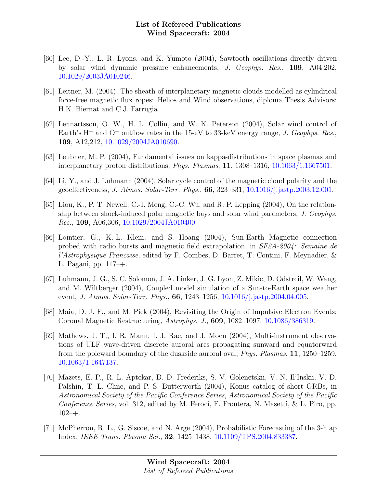- [60] Lee, D.-Y., L. R. Lyons, and K. Yumoto (2004), Sawtooth oscillations directly driven by solar wind dynamic pressure enhancements, J. Geophys. Res., 109, A04,202, [10.1029/2003JA010246.](http://dx.doi.org/10.1029/2003JA010246)
- [61] Leitner, M. (2004), The sheath of interplanetary magnetic clouds modelled as cylindrical force-free magnetic flux ropes: Helios and Wind observations, diploma Thesis Advisors: H.K. Biernat and C.J. Farrugia.
- [62] Lennartsson, O. W., H. L. Collin, and W. K. Peterson (2004), Solar wind control of Earth's  $H^+$  and  $O^+$  outflow rates in the 15-eV to 33-keV energy range, J. Geophys. Res., 109, A12,212, [10.1029/2004JA010690.](http://dx.doi.org/10.1029/2004JA010690)
- [63] Leubner, M. P. (2004), Fundamental issues on kappa-distributions in space plasmas and interplanetary proton distributions, Phys. Plasmas, 11, 1308–1316, [10.1063/1.1667501.](http://dx.doi.org/10.1063/1.1667501)
- [64] Li, Y., and J. Luhmann (2004), Solar cycle control of the magnetic cloud polarity and the geoeffectiveness, J. Atmos. Solar-Terr. Phys., 66, 323–331, [10.1016/j.jastp.2003.12.001.](http://dx.doi.org/10.1016/j.jastp.2003.12.001)
- [65] Liou, K., P. T. Newell, C.-I. Meng, C.-C. Wu, and R. P. Lepping (2004), On the relationship between shock-induced polar magnetic bays and solar wind parameters, J. Geophys. Res., 109, A06,306, [10.1029/2004JA010400.](http://dx.doi.org/10.1029/2004JA010400)
- [66] Lointier, G., K.-L. Klein, and S. Hoang (2004), Sun-Earth Magnetic connection probed with radio bursts and magnetic field extrapolation, in SF2A-2004: Semaine de l'Astrophysique Francaise, edited by F. Combes, D. Barret, T. Contini, F. Meynadier, & L. Pagani, pp. 117–+.
- [67] Luhmann, J. G., S. C. Solomon, J. A. Linker, J. G. Lyon, Z. Mikic, D. Odstrcil, W. Wang, and M. Wiltberger (2004), Coupled model simulation of a Sun-to-Earth space weather event, *J. Atmos. Solar-Terr. Phys.*, **66**, 1243–1256, [10.1016/j.jastp.2004.04.005.](http://dx.doi.org/10.1016/j.jastp.2004.04.005)
- [68] Maia, D. J. F., and M. Pick (2004), Revisiting the Origin of Impulsive Electron Events: Coronal Magnetic Restructuring, Astrophys. J., 609, 1082–1097, [10.1086/386319.](http://dx.doi.org/10.1086/386319)
- [69] Mathews, J. T., I. R. Mann, I. J. Rae, and J. Moen (2004), Multi-instrument observations of ULF wave-driven discrete auroral arcs propagating sunward and equatorward from the poleward boundary of the duskside auroral oval, Phys. Plasmas, 11, 1250–1259, [10.1063/1.1647137.](http://dx.doi.org/10.1063/1.1647137)
- [70] Mazets, E. P., R. L. Aptekar, D. D. Frederiks, S. V. Golenetskii, V. N. Il'Inskii, V. D. Palshin, T. L. Cline, and P. S. Butterworth (2004), Konus catalog of short GRBs, in Astronomical Society of the Pacific Conference Series, Astronomical Society of the Pacific Conference Series, vol. 312, edited by M. Feroci, F. Frontera, N. Masetti, & L. Piro, pp.  $102 - +$ .
- [71] McPherron, R. L., G. Siscoe, and N. Arge (2004), Probabilistic Forecasting of the 3-h ap Index, IEEE Trans. Plasma Sci., 32, 1425–1438, [10.1109/TPS.2004.833387.](http://dx.doi.org/10.1109/TPS.2004.833387)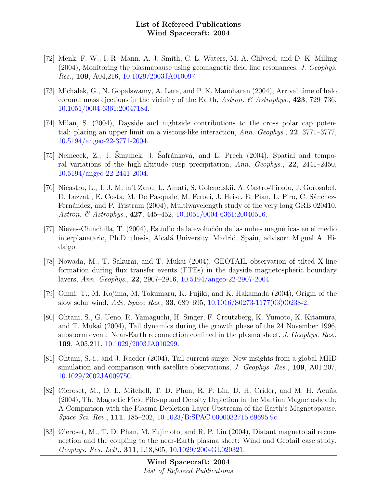- [72] Menk, F. W., I. R. Mann, A. J. Smith, C. L. Waters, M. A. Clilverd, and D. K. Milling (2004), Monitoring the plasmapause using geomagnetic field line resonances, J. Geophys. Res., 109, A04,216, [10.1029/2003JA010097.](http://dx.doi.org/10.1029/2003JA010097)
- [73] Michałek, G., N. Gopalswamy, A. Lara, and P. K. Manoharan (2004), Arrival time of halo coronal mass ejections in the vicinity of the Earth, Astron. & Astrophys., 423, 729–736, [10.1051/0004-6361:20047184.](http://dx.doi.org/10.1051/0004-6361:20047184)
- [74] Milan, S. (2004), Dayside and nightside contributions to the cross polar cap potential: placing an upper limit on a viscous-like interaction, Ann. Geophys., 22, 3771–3777, [10.5194/angeo-22-3771-2004.](http://dx.doi.org/10.5194/angeo-22-3771-2004)
- [75] Nemecek, Z., J. Šimunek, J. Šafránková, and L. Prech  $(2004)$ , Spatial and temporal variations of the high-altitude cusp precipitation, Ann. Geophys., 22, 2441–2450, [10.5194/angeo-22-2441-2004.](http://dx.doi.org/10.5194/angeo-22-2441-2004)
- [76] Nicastro, L., J. J. M. in't Zand, L. Amati, S. Golenetskii, A. Castro-Tirado, J. Gorosabel, D. Lazzati, E. Costa, M. De Pasquale, M. Feroci, J. Heise, E. Pian, L. Piro, C. Sánchez-Fernández, and P. Tristram (2004), Multiwavelength study of the very long GRB 020410, Astron. & Astrophys., 427, 445-452, [10.1051/0004-6361:20040516.](http://dx.doi.org/10.1051/0004-6361:20040516)
- [77] Nieves-Chinchilla, T. (2004), Estudio de la evolución de las nubes magnéticas en el medio interplanetario, Ph.D. thesis, Alcalá University, Madrid, Spain, advisor: Miguel A. Hidalgo.
- [78] Nowada, M., T. Sakurai, and T. Mukai (2004), GEOTAIL observation of tilted X-line formation during flux transfer events (FTEs) in the dayside magnetospheric boundary layers, Ann. Geophys., 22, 2907–2916, [10.5194/angeo-22-2907-2004.](http://dx.doi.org/10.5194/angeo-22-2907-2004)
- [79] Ohmi, T., M. Kojima, M. Tokumaru, K. Fujiki, and K. Hakamada (2004), Origin of the slow solar wind, Adv. Space Res., 33, 689–695, [10.1016/S0273-1177\(03\)00238-2.](http://dx.doi.org/10.1016/S0273-1177(03)00238-2)
- [80] Ohtani, S., G. Ueno, R. Yamaguchi, H. Singer, F. Creutzberg, K. Yumoto, K. Kitamura, and T. Mukai (2004), Tail dynamics during the growth phase of the 24 November 1996, substorm event: Near-Earth reconnection confined in the plasma sheet, J. Geophys. Res., 109, A05,211, [10.1029/2003JA010299.](http://dx.doi.org/10.1029/2003JA010299)
- [81] Ohtani, S.-i., and J. Raeder (2004), Tail current surge: New insights from a global MHD simulation and comparison with satellite observations, J. Geophys. Res., 109, A01,207, [10.1029/2002JA009750.](http://dx.doi.org/10.1029/2002JA009750)
- [82] Øieroset, M., D. L. Mitchell, T. D. Phan, R. P. Lin, D. H. Crider, and M. H. Acuña (2004), The Magnetic Field Pile-up and Density Depletion in the Martian Magnetosheath: A Comparison with the Plasma Depletion Layer Upstream of the Earth's Magnetopause, Space Sci. Rev., 111, 185–202, [10.1023/B:SPAC.0000032715.69695.9c.](http://dx.doi.org/10.1023/B:SPAC.0000032715.69695.9c)
- [83] Øieroset, M., T. D. Phan, M. Fujimoto, and R. P. Lin (2004), Distant magnetotail reconnection and the coupling to the near-Earth plasma sheet: Wind and Geotail case study, Geophys. Res. Lett., 311, L18,805, [10.1029/2004GL020321.](http://dx.doi.org/10.1029/2004GL020321)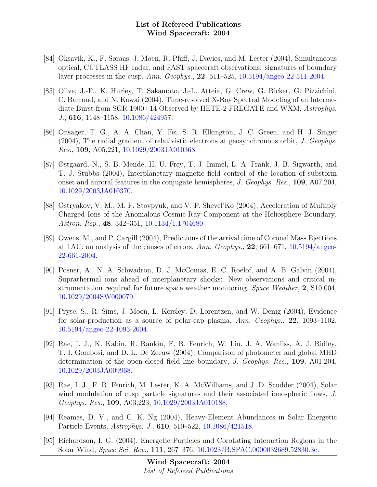- [84] Oksavik, K., F. Søraas, J. Moen, R. Pfaff, J. Davies, and M. Lester (2004), Simultaneous optical, CUTLASS HF radar, and FAST spacecraft observations: signatures of boundary layer processes in the cusp, Ann. Geophys., 22, 511–525, [10.5194/angeo-22-511-2004.](http://dx.doi.org/10.5194/angeo-22-511-2004)
- [85] Olive, J.-F., K. Hurley, T. Sakamoto, J.-L. Atteia, G. Crew, G. Ricker, G. Pizzichini, C. Barraud, and N. Kawai (2004), Time-resolved X-Ray Spectral Modeling of an Intermediate Burst from SGR 1900+14 Observed by HETE-2 FREGATE and WXM, Astrophys. J., 616, 1148–1158, [10.1086/424957.](http://dx.doi.org/10.1086/424957)
- [86] Onsager, T. G., A. A. Chan, Y. Fei, S. R. Elkington, J. C. Green, and H. J. Singer (2004), The radial gradient of relativistic electrons at geosynchronous orbit, J. Geophys. Res., 109, A05,221, [10.1029/2003JA010368.](http://dx.doi.org/10.1029/2003JA010368)
- [87] Østgaard, N., S. B. Mende, H. U. Frey, T. J. Immel, L. A. Frank, J. B. Sigwarth, and T. J. Stubbs (2004), Interplanetary magnetic field control of the location of substorm onset and auroral features in the conjugate hemispheres, J. Geophys. Res., 109, A07,204, [10.1029/2003JA010370.](http://dx.doi.org/10.1029/2003JA010370)
- [88] Ostryakov, V. M., M. F. Stovpyuk, and V. P. Shevel'Ko (2004), Acceleration of Multiply Charged Ions of the Anomalous Cosmic-Ray Component at the Heliosphere Boundary, Astron. Rep., 48, 342–351, [10.1134/1.1704680.](http://dx.doi.org/10.1134/1.1704680)
- [89] Owens, M., and P. Cargill (2004), Predictions of the arrival time of Coronal Mass Ejections at 1AU: an analysis of the causes of errors, Ann. Geophys., 22, 661–671, [10.5194/angeo-](http://dx.doi.org/10.5194/angeo-22-661-2004)[22-661-2004.](http://dx.doi.org/10.5194/angeo-22-661-2004)
- [90] Posner, A., N. A. Schwadron, D. J. McComas, E. C. Roelof, and A. B. Galvin (2004), Suprathermal ions ahead of interplanetary shocks: New observations and critical instrumentation required for future space weather monitoring, Space Weather, 2, S10,004, [10.1029/2004SW000079.](http://dx.doi.org/10.1029/2004SW000079)
- [91] Pryse, S., R. Sims, J. Moen, L. Kersley, D. Lorentzen, and W. Denig (2004), Evidence for solar-production as a source of polar-cap plasma, Ann. Geophys., 22, 1093–1102, [10.5194/angeo-22-1093-2004.](http://dx.doi.org/10.5194/angeo-22-1093-2004)
- [92] Rae, I. J., K. Kabin, R. Rankin, F. R. Fenrich, W. Liu, J. A. Wanliss, A. J. Ridley, T. I. Gombosi, and D. L. De Zeeuw (2004), Comparison of photometer and global MHD determination of the open-closed field line boundary, J. Geophys. Res., 109, A01,204, [10.1029/2003JA009968.](http://dx.doi.org/10.1029/2003JA009968)
- [93] Rae, I. J., F. R. Fenrich, M. Lester, K. A. McWilliams, and J. D. Scudder (2004), Solar wind modulation of cusp particle signatures and their associated ionospheric flows, J. Geophys. Res., 109, A03,223, [10.1029/2003JA010188.](http://dx.doi.org/10.1029/2003JA010188)
- [94] Reames, D. V., and C. K. Ng (2004), Heavy-Element Abundances in Solar Energetic Particle Events, Astrophys. J., 610, 510–522, [10.1086/421518.](http://dx.doi.org/10.1086/421518)
- [95] Richardson, I. G. (2004), Energetic Particles and Corotating Interaction Regions in the Solar Wind, Space Sci. Rev., 111, 267–376, [10.1023/B:SPAC.0000032689.52830.3e.](http://dx.doi.org/10.1023/B:SPAC.0000032689.52830.3e)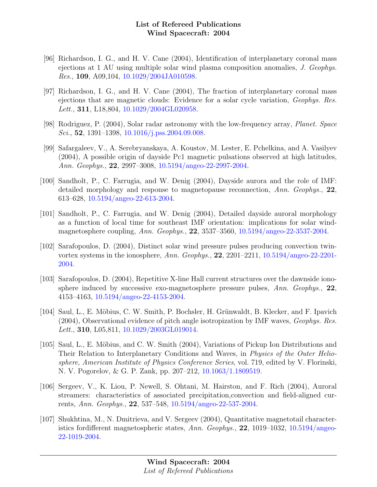- [96] Richardson, I. G., and H. V. Cane (2004), Identification of interplanetary coronal mass ejections at 1 AU using multiple solar wind plasma composition anomalies, J. Geophys. Res., 109, A09,104, [10.1029/2004JA010598.](http://dx.doi.org/10.1029/2004JA010598)
- [97] Richardson, I. G., and H. V. Cane (2004), The fraction of interplanetary coronal mass ejections that are magnetic clouds: Evidence for a solar cycle variation, Geophys. Res. Lett., **311**, L18,804, [10.1029/2004GL020958.](http://dx.doi.org/10.1029/2004GL020958)
- [98] Rodriguez, P. (2004), Solar radar astronomy with the low-frequency array, Planet. Space Sci., 52, 1391–1398, [10.1016/j.pss.2004.09.008.](http://dx.doi.org/10.1016/j.pss.2004.09.008)
- [99] Safargaleev, V., A. Serebryanskaya, A. Koustov, M. Lester, E. Pchelkina, and A. Vasilyev (2004), A possible origin of dayside Pc1 magnetic pulsations observed at high latitudes, Ann. Geophys., 22, 2997–3008, [10.5194/angeo-22-2997-2004.](http://dx.doi.org/10.5194/angeo-22-2997-2004)
- [100] Sandholt, P., C. Farrugia, and W. Denig (2004), Dayside aurora and the role of IMF: detailed morphology and response to magnetopause reconnection, Ann. Geophys., 22, 613–628, [10.5194/angeo-22-613-2004.](http://dx.doi.org/10.5194/angeo-22-613-2004)
- [101] Sandholt, P., C. Farrugia, and W. Denig (2004), Detailed dayside auroral morphology as a function of local time for southeast IMF orientation: implications for solar windmagnetosphere coupling, Ann. Geophys., 22, 3537–3560, [10.5194/angeo-22-3537-2004.](http://dx.doi.org/10.5194/angeo-22-3537-2004)
- [102] Sarafopoulos, D. (2004), Distinct solar wind pressure pulses producing convection twinvortex systems in the ionosphere, Ann. Geophys., 22, 2201–2211, [10.5194/angeo-22-2201-](http://dx.doi.org/10.5194/angeo-22-2201-2004) [2004.](http://dx.doi.org/10.5194/angeo-22-2201-2004)
- [103] Sarafopoulos, D. (2004), Repetitive X-line Hall current structures over the dawnside ionosphere induced by successive exo-magnetosphere pressure pulses,  $Ann. Geophys.$ , 22, 4153–4163, [10.5194/angeo-22-4153-2004.](http://dx.doi.org/10.5194/angeo-22-4153-2004)
- [104] Saul, L., E. Möbius, C. W. Smith, P. Bochsler, H. Grünwaldt, B. Klecker, and F. Ipavich (2004), Observational evidence of pitch angle isotropization by IMF waves, Geophys. Res. Lett., **310**, L05,811, [10.1029/2003GL019014.](http://dx.doi.org/10.1029/2003GL019014)
- [105] Saul, L., E. Möbius, and C. W. Smith (2004), Variations of Pickup Ion Distributions and Their Relation to Interplanetary Conditions and Waves, in Physics of the Outer Heliosphere, American Institute of Physics Conference Series, vol. 719, edited by V. Florinski, N. V. Pogorelov, & G. P. Zank, pp. 207–212, [10.1063/1.1809519.](http://dx.doi.org/10.1063/1.1809519)
- [106] Sergeev, V., K. Liou, P. Newell, S. Ohtani, M. Hairston, and F. Rich (2004), Auroral streamers: characteristics of associated precipitation,convection and field-aligned currents, Ann. Geophys., 22, 537–548, [10.5194/angeo-22-537-2004.](http://dx.doi.org/10.5194/angeo-22-537-2004)
- [107] Shukhtina, M., N. Dmitrieva, and V. Sergeev (2004), Quantitative magnetotail characteristics fordifferent magnetospheric states,  $Ann. Geophys.$ , 22, 1019–1032, [10.5194/angeo-](http://dx.doi.org/10.5194/angeo-22-1019-2004)[22-1019-2004.](http://dx.doi.org/10.5194/angeo-22-1019-2004)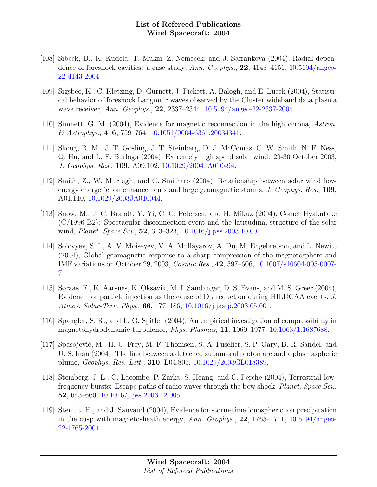- [108] Sibeck, D., K. Kudela, T. Mukai, Z. Nemecek, and J. Safrankova (2004), Radial depen-dence of foreshock cavities: a case study, Ann. Geophys., 22, 4143-4151, [10.5194/angeo-](http://dx.doi.org/10.5194/angeo-22-4143-2004)[22-4143-2004.](http://dx.doi.org/10.5194/angeo-22-4143-2004)
- [109] Sigsbee, K., C. Kletzing, D. Gurnett, J. Pickett, A. Balogh, and E. Lucek (2004), Statistical behavior of foreshock Langmuir waves observed by the Cluster wideband data plasma wave receiver, Ann. Geophys., 22, 2337–2344, [10.5194/angeo-22-2337-2004.](http://dx.doi.org/10.5194/angeo-22-2337-2004)
- [110] Simnett, G. M. (2004), Evidence for magnetic reconnection in the high corona, Astron.  $\&$  Astrophys., 416, 759–764, [10.1051/0004-6361:20034341.](http://dx.doi.org/10.1051/0004-6361:20034341)
- [111] Skoug, R. M., J. T. Gosling, J. T. Steinberg, D. J. McComas, C. W. Smith, N. F. Ness, Q. Hu, and L. F. Burlaga (2004), Extremely high speed solar wind: 29-30 October 2003, J. Geophys. Res., 109, A09,102, [10.1029/2004JA010494.](http://dx.doi.org/10.1029/2004JA010494)
- [112] Smith, Z., W. Murtagh, and C. Smithtro (2004), Relationship between solar wind lowenergy energetic ion enhancements and large geomagnetic storms, J. Geophys. Res., 109, A01,110, [10.1029/2003JA010044.](http://dx.doi.org/10.1029/2003JA010044)
- [113] Snow, M., J. C. Brandt, Y. Yi, C. C. Petersen, and H. Mikuz (2004), Comet Hyakutake (C/1996 B2): Spectacular disconnection event and the latitudinal structure of the solar wind, *Planet. Space Sci.*, **52**, 313–323, [10.1016/j.pss.2003.10.001.](http://dx.doi.org/10.1016/j.pss.2003.10.001)
- [114] Solovyev, S. I., A. V. Moiseyev, V. A. Mullayarov, A. Du, M. Engebretson, and L. Newitt (2004), Global geomagnetic response to a sharp compression of the magnetosphere and IMF variations on October 29, 2003, Cosmic Res., 42, 597–606, [10.1007/s10604-005-0007-](http://dx.doi.org/10.1007/s10604-005-0007-7) [7.](http://dx.doi.org/10.1007/s10604-005-0007-7)
- [115] Søraas, F., K. Aarsnes, K. Oksavik, M. I. Sandanger, D. S. Evans, and M. S. Greer (2004), Evidence for particle injection as the cause of  $D_{st}$  reduction during HILDCAA events, J. Atmos. Solar-Terr. Phys., 66, 177–186, [10.1016/j.jastp.2003.05.001.](http://dx.doi.org/10.1016/j.jastp.2003.05.001)
- [116] Spangler, S. R., and L. G. Spitler (2004), An empirical investigation of compressibility in magnetohydrodynamic turbulence, Phys. Plasmas, 11, 1969–1977, [10.1063/1.1687688.](http://dx.doi.org/10.1063/1.1687688)
- [117] Spasojević, M., H. U. Frey, M. F. Thomsen, S. A. Fuselier, S. P. Gary, B. R. Sandel, and U. S. Inan (2004), The link between a detached subauroral proton arc and a plasmaspheric plume, Geophys. Res. Lett., 310, L04,803, [10.1029/2003GL018389.](http://dx.doi.org/10.1029/2003GL018389)
- [118] Steinberg, J.-L., C. Lacombe, P. Zarka, S. Hoang, and C. Perche (2004), Terrestrial lowfrequency bursts: Escape paths of radio waves through the bow shock, Planet. Space Sci., 52, 643–660, [10.1016/j.pss.2003.12.005.](http://dx.doi.org/10.1016/j.pss.2003.12.005)
- [119] Stenuit, H., and J. Sauvaud (2004), Evidence for storm-time ionospheric ion precipitation in the cusp with magnetosheath energy,  $Ann. Geophys.$ , 22, 1765–1771, [10.5194/angeo-](http://dx.doi.org/10.5194/angeo-22-1765-2004)[22-1765-2004.](http://dx.doi.org/10.5194/angeo-22-1765-2004)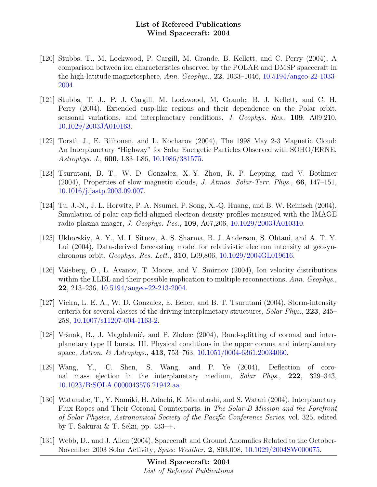- [120] Stubbs, T., M. Lockwood, P. Cargill, M. Grande, B. Kellett, and C. Perry (2004), A comparison between ion characteristics observed by the POLAR and DMSP spacecraft in the high-latitude magnetosphere, Ann. Geophys., 22, 1033–1046, [10.5194/angeo-22-1033-](http://dx.doi.org/10.5194/angeo-22-1033-2004) [2004.](http://dx.doi.org/10.5194/angeo-22-1033-2004)
- [121] Stubbs, T. J., P. J. Cargill, M. Lockwood, M. Grande, B. J. Kellett, and C. H. Perry (2004), Extended cusp-like regions and their dependence on the Polar orbit, seasonal variations, and interplanetary conditions, J. Geophys. Res., 109, A09,210, [10.1029/2003JA010163.](http://dx.doi.org/10.1029/2003JA010163)
- [122] Torsti, J., E. Riihonen, and L. Kocharov (2004), The 1998 May 2-3 Magnetic Cloud: An Interplanetary "Highway" for Solar Energetic Particles Observed with SOHO/ERNE, Astrophys. J., 600, L83–L86, [10.1086/381575.](http://dx.doi.org/10.1086/381575)
- [123] Tsurutani, B. T., W. D. Gonzalez, X.-Y. Zhou, R. P. Lepping, and V. Bothmer (2004), Properties of slow magnetic clouds, J. Atmos. Solar-Terr. Phys., 66, 147–151, [10.1016/j.jastp.2003.09.007.](http://dx.doi.org/10.1016/j.jastp.2003.09.007)
- [124] Tu, J.-N., J. L. Horwitz, P. A. Nsumei, P. Song, X.-Q. Huang, and B. W. Reinisch (2004), Simulation of polar cap field-aligned electron density profiles measured with the IMAGE radio plasma imager, J. Geophys. Res., 109, A07,206, [10.1029/2003JA010310.](http://dx.doi.org/10.1029/2003JA010310)
- [125] Ukhorskiy, A. Y., M. I. Sitnov, A. S. Sharma, B. J. Anderson, S. Ohtani, and A. T. Y. Lui (2004), Data-derived forecasting model for relativistic electron intensity at geosynchronous orbit, Geophys. Res. Lett., 310, L09,806, [10.1029/2004GL019616.](http://dx.doi.org/10.1029/2004GL019616)
- [126] Vaisberg, O., L. Avanov, T. Moore, and V. Smirnov (2004), Ion velocity distributions within the LLBL and their possible implication to multiple reconnections,  $Ann. Geophys.$ 22, 213–236, [10.5194/angeo-22-213-2004.](http://dx.doi.org/10.5194/angeo-22-213-2004)
- [127] Vieira, L. E. A., W. D. Gonzalez, E. Echer, and B. T. Tsurutani (2004), Storm-intensity criteria for several classes of the driving interplanetary structures, Solar Phys., 223, 245– 258, [10.1007/s11207-004-1163-2.](http://dx.doi.org/10.1007/s11207-004-1163-2)
- [128] Vršnak, B., J. Magdalenić, and P. Zlobec (2004), Band-splitting of coronal and interplanetary type II bursts. III. Physical conditions in the upper corona and interplanetary space, Astron. & Astrophys., 413, 753-763, [10.1051/0004-6361:20034060.](http://dx.doi.org/10.1051/0004-6361:20034060)
- [129] Wang, Y., C. Shen, S. Wang, and P. Ye (2004), Deflection of coronal mass ejection in the interplanetary medium, Solar Phys., 222, 329–343, [10.1023/B:SOLA.0000043576.21942.aa.](http://dx.doi.org/10.1023/B:SOLA.0000043576.21942.aa)
- [130] Watanabe, T., Y. Namiki, H. Adachi, K. Marubashi, and S. Watari (2004), Interplanetary Flux Ropes and Their Coronal Counterparts, in The Solar-B Mission and the Forefront of Solar Physics, Astronomical Society of the Pacific Conference Series, vol. 325, edited by T. Sakurai & T. Sekii, pp. 433–+.
- [131] Webb, D., and J. Allen (2004), Spacecraft and Ground Anomalies Related to the October-November 2003 Solar Activity, Space Weather, 2, S03,008, [10.1029/2004SW000075.](http://dx.doi.org/10.1029/2004SW000075)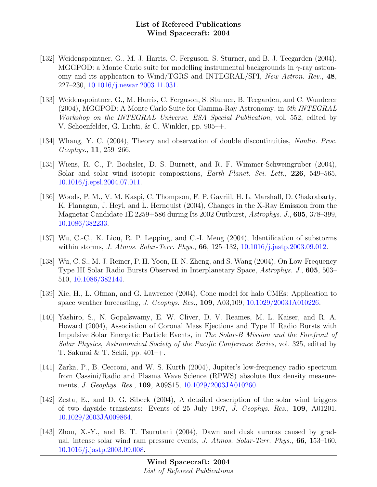- [132] Weidenspointner, G., M. J. Harris, C. Ferguson, S. Sturner, and B. J. Teegarden (2004), MGGPOD: a Monte Carlo suite for modelling instrumental backgrounds in  $\gamma$ -ray astronomy and its application to Wind/TGRS and INTEGRAL/SPI, New Astron. Rev., 48, 227–230, [10.1016/j.newar.2003.11.031.](http://dx.doi.org/10.1016/j.newar.2003.11.031)
- [133] Weidenspointner, G., M. Harris, C. Ferguson, S. Sturner, B. Teegarden, and C. Wunderer (2004), MGGPOD: A Monte Carlo Suite for Gamma-Ray Astronomy, in 5th INTEGRAL Workshop on the INTEGRAL Universe, ESA Special Publication, vol. 552, edited by V. Schoenfelder, G. Lichti, & C. Winkler, pp. 905–+.
- [134] Whang, Y. C. (2004), Theory and observation of double discontinuities, Nonlin. Proc. Geophys., 11, 259–266.
- [135] Wiens, R. C., P. Bochsler, D. S. Burnett, and R. F. Wimmer-Schweingruber (2004), Solar and solar wind isotopic compositions, *Earth Planet. Sci. Lett.*, 226, 549–565. [10.1016/j.epsl.2004.07.011.](http://dx.doi.org/10.1016/j.epsl.2004.07.011)
- [136] Woods, P. M., V. M. Kaspi, C. Thompson, F. P. Gavriil, H. L. Marshall, D. Chakrabarty, K. Flanagan, J. Heyl, and L. Hernquist (2004), Changes in the X-Ray Emission from the Magnetar Candidate 1E 2259+586 during Its 2002 Outburst, Astrophys. J., 605, 378–399, [10.1086/382233.](http://dx.doi.org/10.1086/382233)
- [137] Wu, C.-C., K. Liou, R. P. Lepping, and C.-I. Meng (2004), Identification of substorms within storms, *J. Atmos. Solar-Terr. Phys.*, **66**, 125–132, 10.1016/*j.jastp.2003.09.012.*
- [138] Wu, C. S., M. J. Reiner, P. H. Yoon, H. N. Zheng, and S. Wang (2004), On Low-Frequency Type III Solar Radio Bursts Observed in Interplanetary Space, Astrophys. J., 605, 503– 510, [10.1086/382144.](http://dx.doi.org/10.1086/382144)
- [139] Xie, H., L. Ofman, and G. Lawrence (2004), Cone model for halo CMEs: Application to space weather forecasting, J. Geophys. Res., 109, A03,109, [10.1029/2003JA010226.](http://dx.doi.org/10.1029/2003JA010226)
- [140] Yashiro, S., N. Gopalswamy, E. W. Cliver, D. V. Reames, M. L. Kaiser, and R. A. Howard (2004), Association of Coronal Mass Ejections and Type II Radio Bursts with Impulsive Solar Energetic Particle Events, in The Solar-B Mission and the Forefront of Solar Physics, Astronomical Society of the Pacific Conference Series, vol. 325, edited by T. Sakurai & T. Sekii, pp. 401–+.
- [141] Zarka, P., B. Cecconi, and W. S. Kurth (2004), Jupiter's low-frequency radio spectrum from Cassini/Radio and Plasma Wave Science (RPWS) absolute flux density measurements, J. Geophys. Res., 109, A09S15, [10.1029/2003JA010260.](http://dx.doi.org/10.1029/2003JA010260)
- [142] Zesta, E., and D. G. Sibeck (2004), A detailed description of the solar wind triggers of two dayside transients: Events of 25 July 1997, J. Geophys. Res., 109, A01201, [10.1029/2003JA009864.](http://dx.doi.org/10.1029/2003JA009864)
- [143] Zhou, X.-Y., and B. T. Tsurutani (2004), Dawn and dusk auroras caused by gradual, intense solar wind ram pressure events, J. Atmos. Solar-Terr. Phys., 66, 153–160, [10.1016/j.jastp.2003.09.008.](http://dx.doi.org/10.1016/j.jastp.2003.09.008)